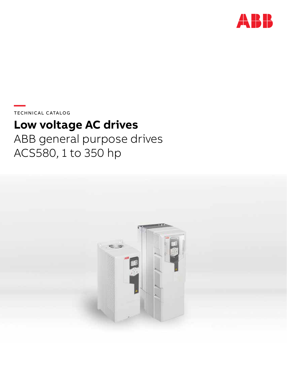

**—**  TECHNICAL CATALOG

# **Low voltage AC drives**

ABB general purpose drives ACS580, 1 to 350 hp

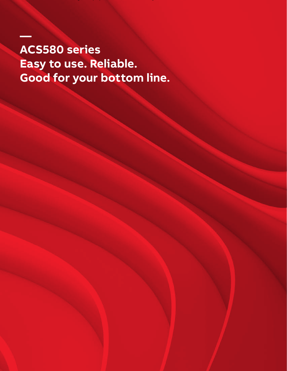**ACS580 series Easy to use. Reliable. Good for your bottom line.**

02 **ABB general purpose drives,** ACS580, Catalog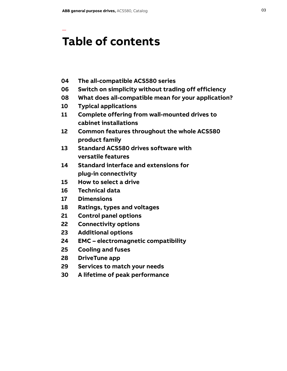—

### **Table of contents**

- **04 The all-compatible ACS580 series**
- **06 Switch on simplicity without trading off efficiency**
- **08 What does all-compatible mean for your application?**
- **10 Typical applications**
- **11 Complete offering from wall-mounted drives to cabinet installations**
- **12 Common features throughout the whole ACS580 product family**
- **13 Standard ACS580 drives software with versatile features**
- **14 Standard interface and extensions for plug-in connectivity**
- **15 How to select a drive**
- **16 Technical data**
- **17 Dimensions**
- **18 Ratings, types and voltages**
- **21 Control panel options**
- **22 Connectivity options**
- **23 Additional options**
- **24 EMC electromagnetic compatibility**
- **25 Cooling and fuses**
- **28 DriveTune app**
- **29 Services to match your needs**
- **30 A lifetime of peak performance**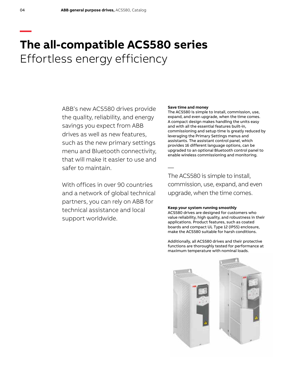### **— The all-compatible ACS580 series** Effortless energy efficiency

ABB's new ACS580 drives provide the quality, reliability, and energy savings you expect from ABB drives as well as new features, such as the new primary settings menu and Bluetooth connectivity, that will make it easier to use and safer to maintain.

With offices in over 90 countries and a network of global technical partners, you can rely on ABB for technical assistance and local support worldwide.

#### **Save time and money**

—

The ACS580 is simple to install, commission, use, expand, and even upgrade, when the time comes. A compact design makes handling the units easy and with all the essential features built-in, commissioning and setup time is greatly reduced by leveraging the Primary Settings menus and assistants. The assistant control panel, which provides 16 different language options, can be upgraded to an optional Bluetooth control panel to enable wireless commissioning and monitoring.

The ACS580 is simple to install, commission, use, expand, and even upgrade, when the time comes.

### **Keep your system running smoothly**

ACS580 drives are designed for customers who value reliability, high quality, and robustness in their applications. Product features, such as coated boards and compact UL Type 12 (IP55) enclosure, make the ACS580 suitable for harsh conditions.

Additionally, all ACS580 drives and their protective functions are thoroughly tested for performance at maximum temperature with nominal loads.

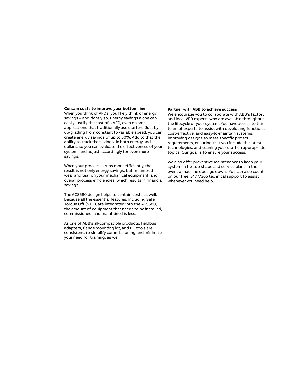#### **Contain costs to improve your bottom line**

When you think of VFDs, you likely think of energy savings – and rightly so. Energy savings alone can easily justify the cost of a VFD, even on small applications that traditionally use starters. Just by up-grading from constant to variable speed, you can create energy savings of up to 50%. Add to that the ability to track the savings, in both energy and dollars, so you can evaluate the effectiveness of your system, and adjust accordingly for even more savings.

When your processes runs more efficiently, the result is not only energy savings, but minimized wear and tear on your mechanical equipment, and overall process efficiencies, which results in financial savings.

The ACS580 design helps to contain costs as well. Because all the essential features, including Safe Torque Off (STO), are integrated into the ACS580, the amount of equipment that needs to be installed, commissioned, and maintained is less.

As one of ABB's all-compatible products, fieldbus adapters, flange mounting kit, and PC tools are consistent, to simplify commissioning and minimize your need for training, as well.

### **Partner with ABB to achieve success**

We encourage you to collaborate with ABB's factory and local VFD experts who are available throughout the lifecycle of your system. You have access to this team of experts to assist with developing functional, cost-effective, and easy-to-maintain systems, improving designs to meet specific project requirements, ensuring that you include the latest technologies, and training your staff on appropriate topics. Our goal is to ensure your success.

We also offer preventive maintenance to keep your system in tip-top shape and service plans in the event a machine does go down. You can also count on our free, 24/7/365 technical support to assist whenever you need help.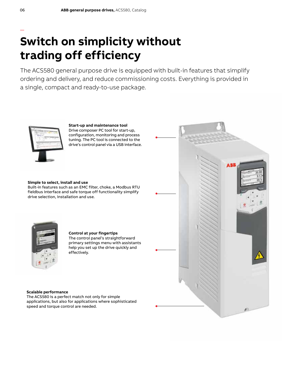# **Switch on simplicity without trading off efficiency**

The ACS580 general purpose drive is equipped with built-in features that simplify ordering and delivery, and reduce commissioning costs. Everything is provided in a single, compact and ready-to-use package.



**Start-up and maintenance tool**  Drive composer PC tool for start-up, configuration, monitoring and process tuning. The PC tool is connected to the drive's control panel via a USB interface.

### **Simple to select, install and use**

Built-in features such as an EMC filter, choke, a Modbus RTU fieldbus interface and safe torque off functionality simplify drive selection, installation and use.



### **Control at your fingertips**

The control panel's straightforward primary settings menu with assistants help you set up the drive quickly and effectively.



### **Scalable performance**

The ACS580 is a perfect match not only for simple applications, but also for applications where sophisticated speed and torque control are needed.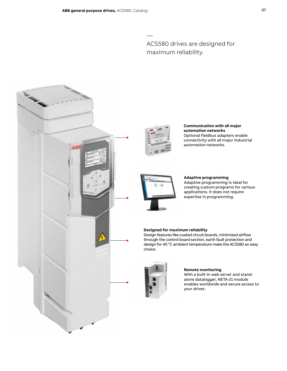### ACS580 drives are designed for maximum reliability.





—

**Communication with all major automation networks**  Optional fieldbus adapters enable connectivity with all major industrial automation networks.



**Adaptive programming** Adaptive programming is ideal for creating custom programs for various applications. It does not require expertise in programming.

### **Designed for maximum reliability**

Design features like coated circuit boards, minimized airflow through the control board section, earth fault protection and design for 40 °C ambient temperature make the ACS580 an easy choice.



### **Remote monitoring**

With a built-in web server and standalone datalogger, NETA-21 module enables worldwide and secure access to your drives.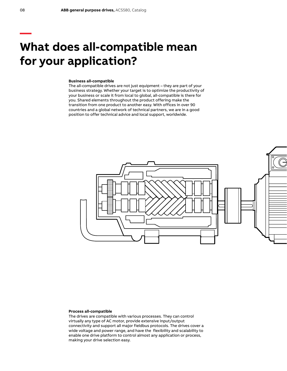### **What does all-compatible mean for your application?**

### **Business all-compatible**

The all-compatible drives are not just equipment – they are part of your business strategy. Whether your target is to optimize the productivity of your business or scale it from local to global, all-compatible is there for you. Shared elements throughout the product offering make the transition from one product to another easy. With offices in over 90 countries and a global network of technical partners, we are in a good position to offer technical advice and local support, worldwide.



#### **Process all-compatible**

The drives are compatible with various processes. They can control virtually any type of AC motor, provide extensive input/output connectivity and support all major fieldbus protocols. The drives cover a wide voltage and power range, and have the flexibility and scalability to enable one drive platform to control almost any application or process, making your drive selection easy.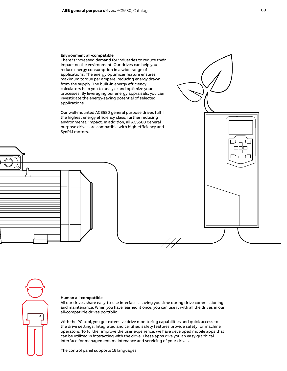#### **Environment all-compatible**

There is increased demand for industries to reduce their impact on the environment. Our drives can help you reduce energy consumption in a wide range of applications. The energy optimizer feature ensures maximum torque per ampere, reducing energy drawn from the supply. The built-in energy efficiency calculators help you to analyze and optimize your processes. By leveraging our energy appraisals, you can investigate the energy-saving potential of selected applications.

Our wall-mounted ACS580 general purpose drives fulfill the highest energy efficiency class, further reducing environmental impact. In addition, all ACS580 general purpose drives are compatible with high-efficiency and SynRM motors.







#### **Human all-compatible**

All our drives share easy-to-use interfaces, saving you time during drive commissioning and maintenance. When you have learned it once, you can use it with all the drives in our all-compatible drives portfolio.

With the PC tool, you get extensive drive monitoring capabilities and quick access to the drive settings. Integrated and certified safety features provide safety for machine operators. To further improve the user experience, we have developed mobile apps that can be utilized in interacting with the drive. These apps give you an easy graphical interface for management, maintenance and servicing of your drives.

The control panel supports 16 languages.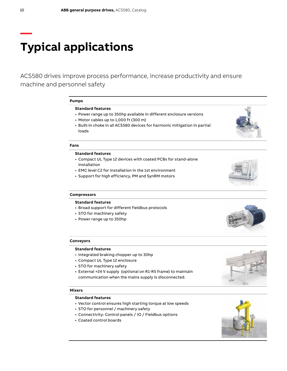# **Typical applications**

ACS580 drives improve process performance, increase productivity and ensure machine and personnel safety

#### **Pumps**

#### **Standard features**

- Power range up to 350hp available in different enclosure versions
- Motor cables up to 1,000 ft (300 m)
- Built-in choke in all ACS580 devices for harmonic mitigation in partial loads

### **Fans**

### **Standard features**

- Compact UL Type 12 devices with coated PCBs for stand-alone installation
- EMC level C2 for installation in the 1st environment
- Support for high efficiency, PM and SynRM motors



#### **Compressors**

### **Standard features**

- Broad support for different fieldbus protocols
- STO for machinery safety
- Power range up to 350hp



#### **Standard features**

- Integrated braking chopper up to 30hp
- Compact UL Type 12 enclosure
- STO for machinery safety
- External +24 V supply (optional on R1-R5 frame) to maintain communication when the mains supply is disconnected.

#### **Mixers**

### **Standard features**

- Vector control ensures high starting torque at low speeds
- STO for personnel / machinery safety
- Connectivity: Control panels / IO / Fieldbus options
- Coated control boards



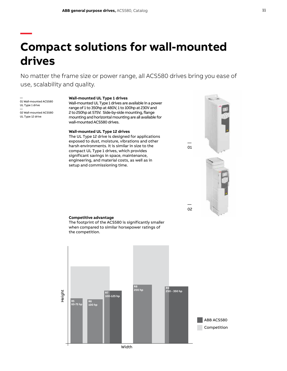## **Compact solutions for wall-mounted drives**

No matter the frame size or power range, all ACS580 drives bring you ease of use, scalability and quality.

— 01 Wall-mounted ACS580 UL Type 1 drive — 02 Wall-mounted ACS580

**—**

UL Type 12 drive

#### **Wall-mounted UL Type 1 drives**

Wall-mounted UL Type 1 drives are available in a power range of 1 to 350hp at 480V, 1 to 100hp at 230V and 2 to 250hp at 575V. Side-by-side mounting, flange mounting and horizontal mounting are all available for wall-mounted ACS580 drives.

#### **Wall-mounted UL Type 12 drives**

The UL Type 12 drive is designed for applications exposed to dust, moisture, vibrations and other harsh environments. It is similar in size to the compact UL Type 1 drives, which provides significant savings in space, maintenance, engineering, and material costs, as well as in setup and commissioning time.



— 01

> — 02

#### **Competitive advantage**

The footprint of the ACS580 is significantly smaller when compared to similar horsepower ratings of the competition.

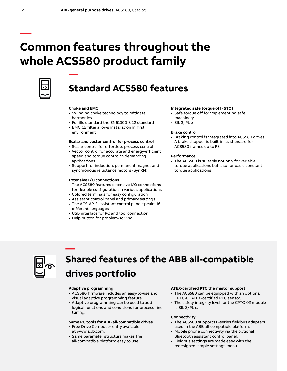# **Common features throughout the whole ACS580 product family**



### **Standard ACS580 features**

### **Choke and EMC**

**—**

- Swinging choke technology to mitigate harmonics
- Fulfills standard the EN61000-3-12 standard
- EMC C2 filter allows installation in first environment

### **Scalar and vector control for process control**

- Scalar control for effortless process control
- Vector control for accurate and energy-efficient speed and torque control in demanding applications
- Support for induction, permanent magnet and synchronous reluctance motors (SynRM)

### **Extensive I/O connections**

- The ACS580 features extensive I/O connections for flexible configuration in various applications
- Colored terminals for easy configuration
- Assistant control panel and primary settings
- The ACS-AP-S assistant control panel speaks 16 different languages
- USB interface for PC and tool connection
- Help button for problem-solving

#### **Integrated safe torque off (STO)**

- Safe torque off for implementing safe machinery
- SIL 3, PL e

### **Brake control**

• Braking control is integrated into ACS580 drives. A brake chopper is built-in as standard for ACS580 frames up to R3.

#### **Performance**

• The ACS580 is suitable not only for variable torque applications but also for basic constant torque applications



### **— Shared features of the ABB all-compatible drives portfolio**

### **Adaptive programming**

- ACS580 firmware includes an easy-to-use and visual adaptive programming feature.
- Adaptive programming can be used to add logical functions and conditions for process finetuning.

### **Same PC tools for ABB all-compatible drives**

- Free Drive Composer entry available at www.abb.com.
- Same parameter structure makes the all-compatible platform easy to use.

### **ATEX-certified PTC thermistor support**

- The ACS580 can be equipped with an optional CPTC-02 ATEX-certified PTC sensor.
- The safety integrity level for the CPTC-02 module is SIL 2/PL c.

### **Connectivity**

- The ACS580 supports F-series fieldbus adapters used in the ABB all-compatible platform.
- Mobile phone connectivity via the optional Bluetooth assistant control panel.
- Fieldbus settings are made easy with the redesigned simple settings menu.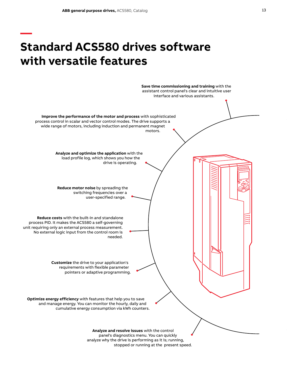**—**

# **Standard ACS580 drives software with versatile features**

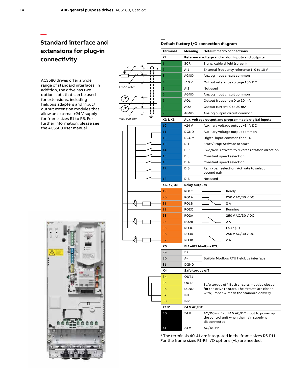**—**

### **Standard interface and extensions for plug-in connectivity**

ACS580 drives offer a wide range of standard interfaces. In addition, the drive has two option slots that can be used for extensions, including fieldbus adapters and input/ output extension modules that allow an external +24 V supply for frame sizes R1 to R5. For further information, please see the ACS580 user manual.





\* The terminals 40-41 are integrated in the frame sizes R6-R11. For the frame sizes R1-R5 I/O options (+L) are needed.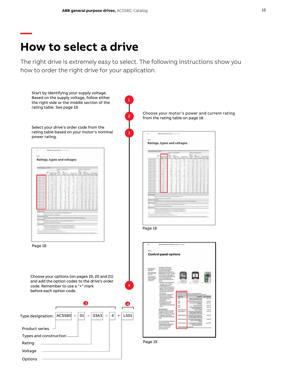### **How to select a drive**

**—**

The right drive is extremely easy to select. The following instructions show you how to order the right drive for your application.

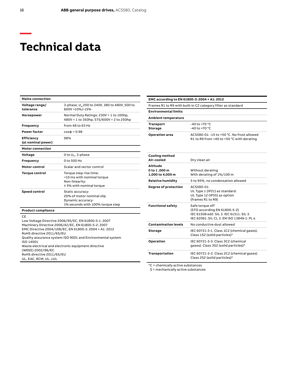### **Technical data**

| <b>Mains connection</b>                                                                                                                                                                                 |                                                                                                        |  |  |
|---------------------------------------------------------------------------------------------------------------------------------------------------------------------------------------------------------|--------------------------------------------------------------------------------------------------------|--|--|
| Voltage range/<br>tolerance                                                                                                                                                                             | 3-phase, U. 200 to 240V, 380 to 480V, 500 to<br>600V +10%/-15%                                         |  |  |
| Horsepower                                                                                                                                                                                              | Normal Duty Ratings: 230V = 1 to 100hp,<br>480V = 1 to 350hp, 575/600V = 2 to 250hp                    |  |  |
| Frequency                                                                                                                                                                                               | from 48 to 63 Hz                                                                                       |  |  |
| <b>Power factor</b>                                                                                                                                                                                     | $cos\phi = 0.98$                                                                                       |  |  |
| <b>Efficiency</b><br>(at nominal power)                                                                                                                                                                 | 98%                                                                                                    |  |  |
| <b>Motor connection</b>                                                                                                                                                                                 |                                                                                                        |  |  |
| Voltage                                                                                                                                                                                                 | 0 to $U_{N}$ , 3-phase                                                                                 |  |  |
| Frequency                                                                                                                                                                                               | 0 to 500 Hz                                                                                            |  |  |
| Motor control                                                                                                                                                                                           | Scalar and vector control                                                                              |  |  |
| <b>Torque control</b>                                                                                                                                                                                   | Torque step rise time:<br><10 ms with nominal torque<br>Non-linearity:<br>± 5% with nominal torque     |  |  |
| <b>Speed control</b>                                                                                                                                                                                    | Static accuracy:<br>20% of motor nominal slip<br>Dynamic accuracy:<br>1% seconds with 100% torque step |  |  |
| <b>Product compliance</b>                                                                                                                                                                               |                                                                                                        |  |  |
| CF<br>Low Voltage Directive 2006/95/EC, EN 61800-5-1: 2007<br>Machinery Directive 2006/42/EC, EN 61800-5-2: 2007<br>EMC Directive 2004/108/EC, EN 61800-3: 2004 + A1: 2012<br>RoHS directive 2011/65/EU |                                                                                                        |  |  |

Quality assurance system ISO 9001 and Environmental system

Waste electrical and electronic equipment directive

ISO 14001

(WEEE) 2002/96/EC RoHS directive 2011/65/EU UL, EAC, RCM, UL, cUL

| <b>Ambient temperature</b>                          |                                                                                                                                         |
|-----------------------------------------------------|-----------------------------------------------------------------------------------------------------------------------------------------|
| <b>Transport</b><br>Storage                         | $-40$ to $+70$ °C<br>$-40$ to $+70$ °C                                                                                                  |
| <b>Operation area</b>                               | ACS580-01: -15 to +50 °C. No frost allowed<br>R1 to R9 from $+40$ to $+50$ °C with derating                                             |
| <b>Cooling method</b><br>Air-cooled                 | Dry clean air                                                                                                                           |
| <b>Altitude</b><br>0 to 1,000 m<br>1,000 to 4,000 m | Without derating<br>With derating of 1%/100 m                                                                                           |
| <b>Relative humidity</b>                            | 5 to 95%, no condensation allowed                                                                                                       |
| Degree of protection                                | ACS580-01:<br>UL Type 1 (IP21) as standard.<br>UL Type 12 (IP55) as option<br>(frames R1 to R9)                                         |
| <b>Functional safety</b>                            | Safe torque off<br>(STO according EN 61800-5-2)<br>IEC 61508 ed2: SIL 3. IEC 61511: SIL 3.<br>IEC 62061: SIL CL 3. EN ISO 13849-1: PL e |
| <b>Contamination levels</b>                         | No conductive dust allowed                                                                                                              |
| <b>Storage</b>                                      | IEC 60721-3-1. Class 1C2 (chemical gases).<br>Class 1S2 (solid particles)*                                                              |
| Operation                                           | IEC 60721-3-3. Class 3C2 (chemical<br>gases). Class 3S2 (solid particles)*                                                              |
| Transportation                                      | IEC 60721-3-2. Class 2C2 (chemical gases)<br>Class 2S2 (solid particles)*                                                               |

**EMC according to EN 61800-3: 2004 + A1: 2012**

**Environmental limits**

Frames R1 to R9 with built-in C2 category filter as standard

 $\overline{C}$  = chemically active substances

S = mechanically active substances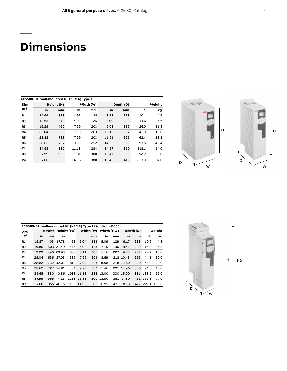# **Dimensions**

**—**

|                | ACS580-01, wall-mounted UL (NEMA) Type 1 |            |       |           |       |           |        |      |
|----------------|------------------------------------------|------------|-------|-----------|-------|-----------|--------|------|
| Dim            |                                          | Height (H) |       | Width (W) |       | Depth (D) | Weight |      |
| Ref            | in                                       | mm         | in    | mm        | in    | mm        | lb     | kg   |
| R1             | 14.69                                    | 373        | 4.92  | 125       | 8.78  | 223       | 10.1   | 4.6  |
| R <sub>2</sub> | 18.62                                    | 473        | 4.92  | 125       | 9.00  | 229       | 14.6   | 6.6  |
| R <sub>3</sub> | 19.29                                    | 490        | 7.99  | 203       | 9.02  | 229       | 26.0   | 11.8 |
| R <sub>4</sub> | 25.04                                    | 636        | 7.99  | 203       | 10.12 | 257       | 41.9   | 19.0 |
| R <sub>5</sub> | 28.82                                    | 732        | 7.99  | 203       | 11.61 | 295       | 62.4   | 28.3 |
| R <sub>6</sub> | 28.62                                    | 727        | 9.92  | 252       | 14.53 | 369       | 93.5   | 42.4 |
| R7             | 34.65                                    | 880        | 11.18 | 284       | 14.57 | 370       | 119.1  | 54.0 |
| R <sub>8</sub> | 37.99                                    | 965        | 11.81 | 300       | 15.47 | 393       | 152.2  | 69.0 |
| R <sub>9</sub> | 37.60                                    | 955        | 14.96 | 380       | 16.46 | 418       | 213.9  | 97.0 |



|                | ACS580-01. wall-mounted UL (NEMA) Type 12 (option +B056) |        |           |             |            |     |                      |     |           |           |           |        |
|----------------|----------------------------------------------------------|--------|-----------|-------------|------------|-----|----------------------|-----|-----------|-----------|-----------|--------|
| Dim            |                                                          | Height |           | Height (H5) |            |     | Width (W) Width (HW) |     |           | Depth (D) |           | Weight |
| <b>Ref</b>     | in                                                       | mm     | in        | mm          | in         | mm  | in                   | mm  | in        | mm        | lb        | kg     |
| R1             | 15.87                                                    | 403    | 17.78     | 452         | 5.04       | 128 | 5.09                 | 129 | 9.17      | 233       | 10.6      | 4.8    |
| R <sub>2</sub> | 19.80                                                    |        | 503 21.49 | 546         | 5.04       | 128 | 5.10                 | 130 | 9.41      | 239       | 15.0      | 6.8    |
| R <sub>3</sub> | 19.29                                                    |        | 490 20.93 | 532         | 8.11       | 206 | 8.16                 | 207 | 9.33      | 237       | 28.7      | 13.0   |
| R4             | 25.04                                                    |        | 636 27.03 | 686         | 7.99       | 203 | 8.59                 |     | 218 10.43 | 265       | 44.1      | 20.0   |
| R <sub>5</sub> | 28.82                                                    |        | 732 32.01 | 813         | 7.99       | 203 | 8.58                 |     | 218 12.60 | 320       | 64.0      | 29.0   |
| R <sub>6</sub> | 28.62                                                    |        | 727 34.81 | 884         | 9.92       |     | 252 11.46            |     | 291 14.96 | 380       | 94.8      | 43.0   |
| R7             | 34.65                                                    |        | 880 40.86 |             | 1038 11.18 |     | 284 13.00            |     | 330 15.00 |           | 381 123.5 | 56.0   |
| R <sub>8</sub> | 37.99                                                    |        | 965 44.23 |             | 1123 11.81 |     | 300 13.80            | 351 | 17.80     |           | 452 169.8 | 77.0   |
| R <sub>9</sub> | 37.60                                                    |        | 955 46.75 |             | 1188 14.96 |     | 380 16.95            | 431 | 18.78     | 477       | 227.1     | 103.0  |
|                |                                                          |        |           |             |            |     |                      |     |           |           |           |        |



H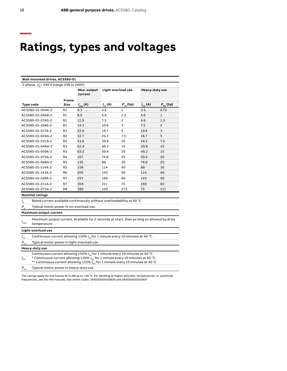### **Ratings, types and voltages**

|                               | Wall-mounted drives, ACS580-01                                                                                                                                                                                                                                                        |                |                        |                           |                          |                  |                      |
|-------------------------------|---------------------------------------------------------------------------------------------------------------------------------------------------------------------------------------------------------------------------------------------------------------------------------------|----------------|------------------------|---------------------------|--------------------------|------------------|----------------------|
|                               | 3-phase, U <sub>n</sub> = 240 V (range 208 to 240V)                                                                                                                                                                                                                                   |                |                        |                           |                          |                  |                      |
|                               |                                                                                                                                                                                                                                                                                       |                | Max. output<br>current |                           | Light overload use       |                  | Heavy-duty use       |
|                               |                                                                                                                                                                                                                                                                                       | <b>Frame</b>   |                        |                           |                          |                  |                      |
|                               | Type code                                                                                                                                                                                                                                                                             | Size           | $I_{\max}(A)$          | $I_{\text{Ld}}(\text{A})$ | $P_{\rm Ld}^{\rm (h p)}$ | $I_{\rm nd}$ (A) | $P_{\text{hd}}$ (hp) |
|                               | ACS580-01-04A6-2                                                                                                                                                                                                                                                                      | R1             | 6.3                    | 4.6                       | $\mathbf{1}$             | 3.5              | 0.75                 |
|                               | ACS580-01-06A6-2                                                                                                                                                                                                                                                                      | R1             | 8.9                    | 6.6                       | 1.5                      | 4.6              | $\mathbf{1}$         |
|                               | ACS580-01-07A5-2                                                                                                                                                                                                                                                                      | R1             | 11.9                   | 7.5                       | 2                        | 6.6              | 1.5                  |
|                               | ACS580-01-10A6-2                                                                                                                                                                                                                                                                      | R1             | 14.3                   | 10.6                      | 3                        | 7.5              | 2                    |
|                               | ACS580-01-017A-2                                                                                                                                                                                                                                                                      | R1             | 22.6                   | 16.7                      | 5                        | 10.6             | 3                    |
|                               | ACS580-01-024A-2                                                                                                                                                                                                                                                                      | R <sub>2</sub> | 32.7                   | 24.2                      | 7.5                      | 16.7             | 5                    |
|                               | ACS580-01-031A-2                                                                                                                                                                                                                                                                      | R <sub>2</sub> | 43.6                   | 30.8                      | 10                       | 24.2             | 7.5                  |
|                               | ACS580-01-046A-2                                                                                                                                                                                                                                                                      | R3             | 62.4                   | 46.2                      | 15                       | 30.8             | 10                   |
|                               | ACS580-01-059A-2                                                                                                                                                                                                                                                                      | R <sub>3</sub> | 83.2                   | 59.4                      | 20                       | 46.2             | 15                   |
|                               | ACS580-01-075A-2                                                                                                                                                                                                                                                                      | R4             | 107                    | 74.8                      | 25                       | 59.4             | 20                   |
|                               | ACS580-01-088A-2                                                                                                                                                                                                                                                                      | R <sub>5</sub> | 135                    | 88                        | 30                       | 74.8             | 25                   |
|                               | ACS580-01-114A-2                                                                                                                                                                                                                                                                      | R <sub>5</sub> | 158                    | 114                       | 40                       | 88               | 30                   |
|                               | ACS580-01-143A-2                                                                                                                                                                                                                                                                      | R <sub>6</sub> | 205                    | 143                       | 50                       | 114              | 40                   |
|                               | ACS580-01-169A-2                                                                                                                                                                                                                                                                      | R7             | 257                    | 169                       | 60                       | 143              | 50                   |
|                               | ACS580-01-211A-2                                                                                                                                                                                                                                                                      | R7             | 304                    | 211                       | 75                       | 169              | 60                   |
|                               | ACS580-01-273A-2                                                                                                                                                                                                                                                                      | R8             | 380                    | 100                       | 273                      | 75               | 211                  |
|                               | <b>Nominal ratings</b>                                                                                                                                                                                                                                                                |                |                        |                           |                          |                  |                      |
| $I_{\rm N}$                   | Rated current available continuously without overloadability at 40 °C                                                                                                                                                                                                                 |                |                        |                           |                          |                  |                      |
| $P_{N}$                       | Typical motor power in no-overload use.                                                                                                                                                                                                                                               |                |                        |                           |                          |                  |                      |
| <b>Maximum output current</b> |                                                                                                                                                                                                                                                                                       |                |                        |                           |                          |                  |                      |
| $I_{\rm max}$                 | Maximum output current. Available for 2 seconds at start, then as long as allowed by drive<br>temperature.                                                                                                                                                                            |                |                        |                           |                          |                  |                      |
|                               | Light-overload use                                                                                                                                                                                                                                                                    |                |                        |                           |                          |                  |                      |
| $I_{\rm Ld}$                  | Continuous current allowing 110% $I_{\text{tot}}$ for 1 minute every 10 minutes at 40 °C.                                                                                                                                                                                             |                |                        |                           |                          |                  |                      |
| $P_{\rm Ld}$                  | Typical motor power in light-overload use.                                                                                                                                                                                                                                            |                |                        |                           |                          |                  |                      |
|                               | Heavy-duty use                                                                                                                                                                                                                                                                        |                |                        |                           |                          |                  |                      |
| $I_{\rm{Hd}}$                 | Continuous current allowing 150% $I_{\text{tot}}$ for 1 minute every 10 minutes at 40 °C.<br>* Continuous current allowing 130% $I_{\text{Hd}}$ for 1 minute every 10 minutes at 40 °C.<br>** Continuous current allowing 125% $I_{\text{Hd}}$ for 1 minute every 10 minutes at 40 °C |                |                        |                           |                          |                  |                      |
| $P_{_{\rm Hd}}$               | Typical motor power in heavy-duty use.                                                                                                                                                                                                                                                |                |                        |                           |                          |                  |                      |
|                               | The ratings apply for the frames R1 to R9 up to +40 °C. For derating at higher altitudes, temperatures, or switching                                                                                                                                                                  |                |                        |                           |                          |                  |                      |
|                               | frequencies, see the HW manuals, document codes: 3AXD50000018826 and 3AXD50000015497                                                                                                                                                                                                  |                |                        |                           |                          |                  |                      |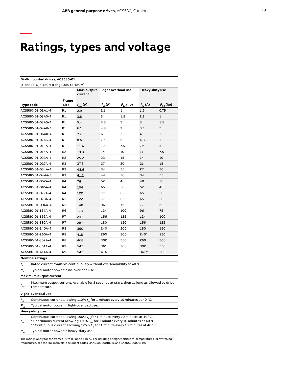## **Ratings, types and voltage**

**—**

| Wall-mounted drives, ACS580-01                                                                                                                                                                                                                                                                        |                                                                                       |                        |                           |                      |                          |                      |
|-------------------------------------------------------------------------------------------------------------------------------------------------------------------------------------------------------------------------------------------------------------------------------------------------------|---------------------------------------------------------------------------------------|------------------------|---------------------------|----------------------|--------------------------|----------------------|
| 3-phase, U <sub>N</sub> =480 V (range 380 to 480 V)                                                                                                                                                                                                                                                   |                                                                                       |                        |                           |                      |                          |                      |
|                                                                                                                                                                                                                                                                                                       |                                                                                       | Max. output<br>current | Light overload use        |                      | Heavy-duty use           |                      |
|                                                                                                                                                                                                                                                                                                       | Frame                                                                                 |                        |                           |                      |                          |                      |
| Type code                                                                                                                                                                                                                                                                                             | Size                                                                                  | $I_{\text{max}}(A)$    | $I_{\text{Ld}}(\text{A})$ | $P_{_{\rm Ld}}$ (hp) | $I_{\rm nd}(\mathsf{A})$ | $P_{_{\rm Hd}}$ (hp) |
| ACS580-01-02A1-4                                                                                                                                                                                                                                                                                      | R1                                                                                    | 2.9                    | 2.1                       | 1                    | 1.6                      | 0.75                 |
| ACS580-01-03A0-4                                                                                                                                                                                                                                                                                      | R1                                                                                    | 3.8                    | 3                         | $1.5\,$              | 2.1                      | 1                    |
| ACS580-01-03A5-4                                                                                                                                                                                                                                                                                      | R1                                                                                    | 5.4                    | 3.5                       | 2                    | 3                        | 1.5                  |
| ACS580-01-04A8-4                                                                                                                                                                                                                                                                                      | R1                                                                                    | 6.1                    | 4.8                       | 3                    | 3.4                      | $\overline{c}$       |
| ACS580-01-06A0-4                                                                                                                                                                                                                                                                                      | R1                                                                                    | 7.2                    | 6                         | 3                    | 4                        | 3                    |
| ACS580-01-07A6-4                                                                                                                                                                                                                                                                                      | R1                                                                                    | 8.6                    | 7.6                       | 5                    | 4.8                      | 3                    |
| ACS580-01-012A-4                                                                                                                                                                                                                                                                                      | R1                                                                                    | 11.4                   | 12                        | 7.5                  | 7.6                      | 5                    |
| ACS580-01-014A-4                                                                                                                                                                                                                                                                                      | R2                                                                                    | 19.8                   | 14                        | 10                   | 11                       | 7.5                  |
| ACS580-01-023A-4                                                                                                                                                                                                                                                                                      | R <sub>2</sub>                                                                        | 25.2                   | 23                        | 15                   | 14                       | 10                   |
| ACS580-01-027A-4                                                                                                                                                                                                                                                                                      | R3                                                                                    | 37.8                   | 27                        | 20                   | 21                       | 15                   |
| ACS580-01-034A-4                                                                                                                                                                                                                                                                                      | R3                                                                                    | 48.6                   | 34                        | 25                   | 27                       | 20                   |
| ACS580-01-044A-4                                                                                                                                                                                                                                                                                      | R3                                                                                    | 61.2                   | 44                        | 30                   | 34                       | 25                   |
| ACS580-01-052A-4                                                                                                                                                                                                                                                                                      | R4                                                                                    | 76                     | 52                        | 40                   | 40                       | 30                   |
| ACS580-01-065A-4                                                                                                                                                                                                                                                                                      | R4                                                                                    | 104                    | 65                        | 50                   | 52                       | 40                   |
| ACS580-01-077A-4                                                                                                                                                                                                                                                                                      | R4                                                                                    | 122                    | 77                        | 60                   | 65                       | 50                   |
| ACS580-01-078A-4                                                                                                                                                                                                                                                                                      | R5                                                                                    | 122                    | 77                        | 60                   | 65                       | 50                   |
| ACS580-01-096A-4                                                                                                                                                                                                                                                                                      | R5                                                                                    | 148                    | 96                        | 75                   | 77                       | 60                   |
| ACS580-01-124A-4                                                                                                                                                                                                                                                                                      | R6                                                                                    | 178                    | 124                       | 100                  | 96                       | 75                   |
| ACS580-01-156A-4                                                                                                                                                                                                                                                                                      | R7                                                                                    | 247                    | 156                       | 125                  | 124                      | 100                  |
| ACS580-01-180A-4                                                                                                                                                                                                                                                                                      | R7                                                                                    | 287                    | 180                       | 150                  | 156                      | 125                  |
| ACS580-01-240A-4                                                                                                                                                                                                                                                                                      | R8                                                                                    | 350                    | 240                       | 200                  | 180                      | 150                  |
| ACS580-01-260A-4                                                                                                                                                                                                                                                                                      | R8                                                                                    | 418                    | 260                       | 200                  | 240*                     | 150                  |
| ACS580-01-302A-4                                                                                                                                                                                                                                                                                      | R8                                                                                    | 468                    | 302                       | 250                  | 260                      | 200                  |
| ACS580-01-361A-4                                                                                                                                                                                                                                                                                      | R9                                                                                    | 542                    | 361                       | 300                  | 302                      | 250                  |
| ACS580-01-414A-4                                                                                                                                                                                                                                                                                      | R9                                                                                    | 542                    | 414                       | 350                  | 361**                    | 300                  |
| <b>Nominal ratings</b>                                                                                                                                                                                                                                                                                |                                                                                       |                        |                           |                      |                          |                      |
| Rated current available continuously without overloadability at 40 °C<br>$I_{N}$                                                                                                                                                                                                                      |                                                                                       |                        |                           |                      |                          |                      |
| $P_{N}$<br>Typical motor power in no-overload use.                                                                                                                                                                                                                                                    |                                                                                       |                        |                           |                      |                          |                      |
| <b>Maximum output current</b>                                                                                                                                                                                                                                                                         |                                                                                       |                        |                           |                      |                          |                      |
| Maximum output current. Available for 2 seconds at start, then as long as allowed by drive<br>$I_{\max}$<br>temperature.                                                                                                                                                                              |                                                                                       |                        |                           |                      |                          |                      |
| Light-overload use                                                                                                                                                                                                                                                                                    |                                                                                       |                        |                           |                      |                          |                      |
| $I_{\text{Ld}}$                                                                                                                                                                                                                                                                                       | Continuous current allowing 110% $I_{\alpha}$ for 1 minute every 10 minutes at 40 °C. |                        |                           |                      |                          |                      |
| $P_{\rm Ld}$<br>Typical motor power in light-overload use.                                                                                                                                                                                                                                            |                                                                                       |                        |                           |                      |                          |                      |
| Heavy-duty use                                                                                                                                                                                                                                                                                        |                                                                                       |                        |                           |                      |                          |                      |
| Continuous current allowing 150% $I_{\text{tot}}$ for 1 minute every 10 minutes at 40 °C.<br>* Continuous current allowing 130% $I_{\text{Hd}}$ for 1 minute every 10 minutes at 40 °C.<br>$I_{\rm Hd}$<br>** Continuous current allowing 125% $I_{\text{Hd}}$ for 1 minute every 10 minutes at 40 °C |                                                                                       |                        |                           |                      |                          |                      |
| Typical motor power in heavy-duty use.<br>$P_{_{\sf Hd}}$                                                                                                                                                                                                                                             |                                                                                       |                        |                           |                      |                          |                      |
|                                                                                                                                                                                                                                                                                                       |                                                                                       |                        |                           |                      |                          |                      |

The ratings apply for the frames R1 to R9 up to +40 °C. For derating at higher altitudes, temperatures, or switching frequencies, see the HW manuals, document codes: 3AXD50000018826 and 3AXD50000015497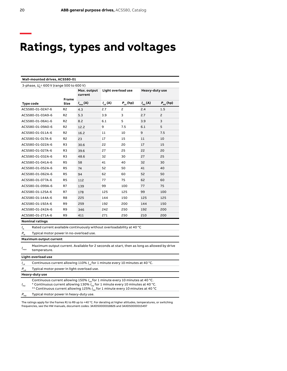# **Ratings, types and voltages**

|                            | Wall-mounted drives, ACS580-01                                                                                                                                                                                                                                                       |                      |                        |                           |                                       |                  |                      |
|----------------------------|--------------------------------------------------------------------------------------------------------------------------------------------------------------------------------------------------------------------------------------------------------------------------------------|----------------------|------------------------|---------------------------|---------------------------------------|------------------|----------------------|
|                            | 3-phase, $U_{\rm h}$ = 600 V (range 500 to 600 V)                                                                                                                                                                                                                                    |                      |                        |                           |                                       |                  |                      |
|                            |                                                                                                                                                                                                                                                                                      |                      | Max. output<br>current |                           | Light overload use                    |                  | Heavy-duty use       |
| Type code                  |                                                                                                                                                                                                                                                                                      | <b>Frame</b><br>Size | $I_{\max}(A)$          | $I_{\text{Ld}}(\text{A})$ | $\textbf{\emph{P}}_{_{\rm{Ld}}}$ (hp) | $I_{\rm nd}$ (A) | $P_{_{\rm Hd}}$ (hp) |
|                            | ACS580-01-02A7-6                                                                                                                                                                                                                                                                     | R <sub>2</sub>       | 4.3                    | 2.7                       | 2                                     | 2.4              | 1.5                  |
|                            | ACS580-01-03A9-6                                                                                                                                                                                                                                                                     | R <sub>2</sub>       | 5.3                    | 3.9                       | 3                                     | 2.7              | $\overline{c}$       |
|                            | ACS580-01-06A1-6                                                                                                                                                                                                                                                                     | R <sub>2</sub>       | 8.2                    | 6.1                       | 5                                     | 3.9              | 3                    |
|                            | ACS580-01-09A0-6                                                                                                                                                                                                                                                                     | R2                   | 12.2                   | 9                         | 7.5                                   | 6.1              | 5                    |
|                            | ACS580-01-011A-6                                                                                                                                                                                                                                                                     | R2                   | 16.2                   | 11                        | 10                                    | 9                | 7.5                  |
|                            | ACS580-01-017A-6                                                                                                                                                                                                                                                                     | R2                   | 23                     | 17                        | 15                                    | 11               | 10                   |
|                            | ACS580-01-022A-6                                                                                                                                                                                                                                                                     | R3                   | 30.6                   | 22                        | 20                                    | 17               | 15                   |
|                            | ACS580-01-027A-6                                                                                                                                                                                                                                                                     | R3                   | 39.6                   | 27                        | 25                                    | 22               | 20                   |
|                            | ACS580-01-032A-6                                                                                                                                                                                                                                                                     | R3                   | 48.6                   | 32                        | 30                                    | 27               | 25                   |
|                            | ACS580-01-041A-6                                                                                                                                                                                                                                                                     | R5                   | 58                     | 41                        | 40                                    | 32               | 30                   |
|                            | ACS580-01-052A-6                                                                                                                                                                                                                                                                     | R5                   | 74                     | 52                        | 50                                    | 41               | 40                   |
|                            | ACS580-01-062A-6                                                                                                                                                                                                                                                                     | R5                   | 94                     | 62                        | 60                                    | 52               | 50                   |
|                            | ACS580-01-077A-6                                                                                                                                                                                                                                                                     | R5                   | 112                    | 77                        | 75                                    | 62               | 60                   |
|                            | ACS580-01-099A-6                                                                                                                                                                                                                                                                     | R7                   | 139                    | 99                        | 100                                   | 77               | 75                   |
|                            | ACS580-01-125A-6                                                                                                                                                                                                                                                                     | R7                   | 178                    | 125                       | 125                                   | 99               | 100                  |
|                            | ACS580-01-144A-6                                                                                                                                                                                                                                                                     | R8                   | 225                    | 144                       | 150                                   | 125              | 125                  |
|                            | ACS580-01-192A-6                                                                                                                                                                                                                                                                     | R9                   | 259                    | 192                       | 200                                   | 144              | 150                  |
|                            | ACS580-01-242A-6                                                                                                                                                                                                                                                                     | R9                   | 346                    | 242                       | 250                                   | 192              | 200                  |
|                            | ACS580-01-271A-6                                                                                                                                                                                                                                                                     | R9                   | 411                    | 271                       | 250                                   | 210              | 200                  |
|                            | <b>Nominal ratings</b>                                                                                                                                                                                                                                                               |                      |                        |                           |                                       |                  |                      |
| $I_{N}$                    | Rated current available continuously without overloadability at 40 °C                                                                                                                                                                                                                |                      |                        |                           |                                       |                  |                      |
| $P_{\scriptscriptstyle N}$ | Typical motor power in no-overload use.                                                                                                                                                                                                                                              |                      |                        |                           |                                       |                  |                      |
|                            | <b>Maximum output current</b>                                                                                                                                                                                                                                                        |                      |                        |                           |                                       |                  |                      |
| $I_{\text{max}}$           | Maximum output current. Available for 2 seconds at start, then as long as allowed by drive<br>temperature.                                                                                                                                                                           |                      |                        |                           |                                       |                  |                      |
|                            | Light-overload use                                                                                                                                                                                                                                                                   |                      |                        |                           |                                       |                  |                      |
| $I_{\text{Ld}}$            | Continuous current allowing 110% $I_{\text{td}}$ for 1 minute every 10 minutes at 40 °C.                                                                                                                                                                                             |                      |                        |                           |                                       |                  |                      |
| $P_{\rm Ld}$               | Typical motor power in light-overload use.                                                                                                                                                                                                                                           |                      |                        |                           |                                       |                  |                      |
|                            | Heavy-duty use                                                                                                                                                                                                                                                                       |                      |                        |                           |                                       |                  |                      |
| $I_{\rm Hd}$               | Continuous current allowing 150% / <sub>Hd</sub> for 1 minute every 10 minutes at 40 °C.<br>* Continuous current allowing 130% $I_{\text{Hd}}$ for 1 minute every 10 minutes at 40 °C.<br>** Continuous current allowing 125% $I_{\text{Hd}}$ for 1 minute every 10 minutes at 40 °C |                      |                        |                           |                                       |                  |                      |
| $P_{_{\rm Hd}}$            | Typical motor power in heavy-duty use.                                                                                                                                                                                                                                               |                      |                        |                           |                                       |                  |                      |

The ratings apply for the frames R1 to R9 up to +40 °C. For derating at higher altitudes, temperatures, or switching frequencies, see the HW manuals, document codes: 3AXD50000018826 and 3AXD50000015497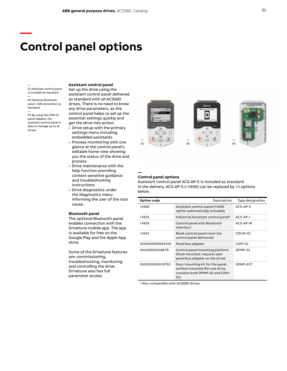### **Control panel options**

#### —

**—**

01 Assistant control panel is included as standard.

— 02 Optional Bluetooth panel. USB connection as standard. —

03 By using the CDPI-01 panel adapter, the assistant control panel is able to manage up to 32 drives.

### **Assistant control panel**

Set up the drive using the assistant control panel delivered as standard with all ACS580 drives. There is no need to know any drive parameters, as the control panel helps to set up the essential settings quickly and get the drive into action.

- Drive setup with the primary settings menu including embedded assistants
- Process monitoring with one glance at the control panel's editable home view showing you the status of the drive and process
- Drive maintenance with the help function providing context-sensitive guidance and troubleshooting instructions
- Drive diagnostics under the diagnostics menu informing the user of the root cause.

#### **Bluetooth panel**

The optional Bluetooth panel enables connection with the Drivetune mobile app. The app is available for free on the Google Play and the Apple App store.

Some of the Drivetune features are: commissioning, troubleshooting, monitoring and controlling the drive. Drivetune also has full parameter access.



### **Control panel options**

**—**

Assistant control panel ACS-AP-S is included as standard in the delivery. ACS-AP-S (+J400) can be replaced by +J options below.

| Option code     | Description                                                                                                   | Type designation |
|-----------------|---------------------------------------------------------------------------------------------------------------|------------------|
| +1400           | Assistant control panel (+1400)<br>option automatically included)                                             | ACS-AP-S         |
| $+1425$         | Industrial Assistant control panel*                                                                           | ACS-AP-I         |
| +1429           | Control panel with Bluetooth<br>interface*                                                                    | ACS-AP-W         |
| $+1424$         | Blank control panel cover (no<br>control panel delivered)                                                     | CDUM-01          |
| 3AXD50000004419 | Panel bus adapter                                                                                             | CDPI-01          |
| 3AUA0000108878  | Control panel mounting platform<br>(flush mounted, requires also<br>panel bus adapter on the drive)           | DPMP-01          |
| 3AXD50000010763 | Door mounting kit for the panel,<br>surface mounted (for one drive,<br>contains both DPMP-02 and CDPI-<br>01) | DPMP-EXT         |

\* Also compatible with ACS880 drives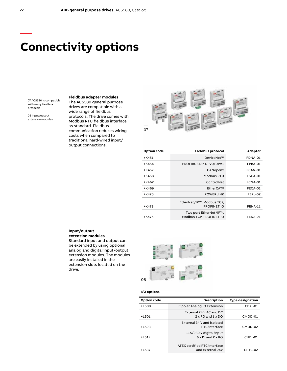### **Connectivity options**

— 07 ACS580 is compatible with many fieldbus protocols — 08 Input/output

extension modules

**Fieldbus adapter modules** The ACS580 general purpose drives are compatible with a wide range of fieldbus protocols. The drive comes with Modbus RTU fieldbus interface as standard. Fieldbus communication reduces wiring costs when compared to traditional hard-wired input/ output connections.



| Option code | <b>Fieldbus protocol</b>                          | Adapter |
|-------------|---------------------------------------------------|---------|
| $+$ K451    | DeviceNet™                                        | FDNA-01 |
| $+K454$     | PROFIBUS DP. DPV0/DPV1                            | FPBA-01 |
| $+$ K457    | CANopen <sup>®</sup>                              | FCAN-01 |
| +K458       | Modbus RTU                                        | FSCA-01 |
| +K462       | ControlNet                                        | FCNA-01 |
| +K469       | EtherCAT <sup>®</sup>                             | FECA-01 |
| +K470       | <b>POWERLINK</b>                                  | FEPL-02 |
| $+$ K473    | EtherNet/IP™, Modbus TCP,<br><b>PROFINET IO</b>   | FENA-11 |
| +K475       | Two port EtherNet/IP™.<br>Modbus TCP, PROFINET IO | FENA-21 |
|             |                                                   |         |

### **Input/output extension modules**

Standard input and output can be extended by using optional analog and digital input/output extension modules. The modules are easily installed in the extension slots located on the drive.



#### **I/O options**

| Option code | Description                                                | <b>Type designation</b> |
|-------------|------------------------------------------------------------|-------------------------|
| $+L500$     | Bipolar Analog IO Extension                                | CBAI-01                 |
| $+1501$     | External 24 V AC and DC<br>$2 \times$ RO and $1 \times$ DO | CMOD-01                 |
| $+L523$     | External 24 V and isolated<br><b>PTC</b> interface         | CMOD-02                 |
| $+L512$     | 115/230 V digital input<br>$6 \times$ DI and $2 \times$ RO | CHDI-01                 |
| $+L537$     | ATEX certified PTC interface<br>and external 24V           | CPTC-02                 |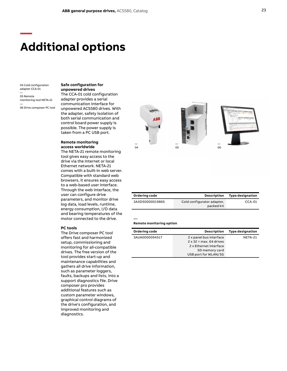### **Additional options**

04 Cold configuration adapter CCA-01

**—**

— 05 Remote monitoring tool NETA-21

— 06 Drive composer PC tool

**Safe configuration for unpowered drives**

The CCA-01 cold configuration adapter provides a serial communication interface for unpowered ACS580 drives. With the adapter, safety isolation of both serial communication and control board power supply is possible. The power supply is taken from a PC USB port.

### **Remote monitoring access worldwide**

The NETA-21 remote monitoring tool gives easy access to the drive via the Internet or local Ethernet network. NETA-21 comes with a built-in web server. Compatible with standard web browsers, it ensures easy access to a web-based user interface. Through the web interface, the user can configure drive parameters, and monitor drive log data, load levels, runtime, energy consumption, I/O data and bearing temperatures of the motor connected to the drive.

#### **PC tools**

The Drive composer PC tool offers fast and harmonized setup, commissioning and monitoring for all-compatible drives. The free version of the tool provides start-up and maintenance capabilities and gathers all drive information, such as parameter loggers, faults, backups and lists, into a support diagnostics file. Drive composer pro provides additional features such as custom parameter windows, graphical control diagrams of the drive's configuration, and improved monitoring and diagnostics.



| Ordering code   | <b>Description</b>                       | <b>Type designation</b> |
|-----------------|------------------------------------------|-------------------------|
| 3AXD50000019865 | Cold configurator adapter,<br>packed kit | $CCA-01$                |

#### **Remote monitoring option**

| Ordering code  | <b>Description</b>             | <b>Type designation</b> |
|----------------|--------------------------------|-------------------------|
| 3AUA0000094517 | 2 x panel bus interface        | NETA-21                 |
|                | $2 \times 32$ = max, 64 drives |                         |
|                | 2 x Ethernet interface         |                         |
|                | SD memory card                 |                         |
|                | USB port for WLAN/3G           |                         |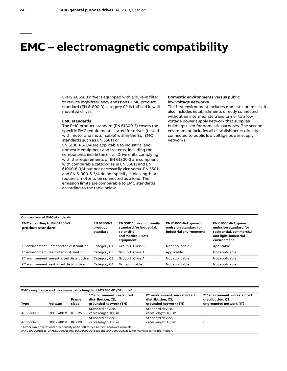### **EMC – electromagnetic compatibility**

Every ACS580 drive is equipped with a built-in filter to reduce high-frequency emissions. EMC product standard (EN 61800-3) category C2 is fulfilled in wallmounted drives.

### **EMC standards**

The EMC product standard (EN 61800-3) covers the specific EMC requirements stated for drives (tested with motor and motor cable) within the EU. EMC standards such as EN 55011 or EN 61000-6-3/4 are applicable to industrial and domestic equipment and systems, including the components inside the drive. Drive units complying with the requirements of EN 61800-3 are compliant with comparable categories in EN 55011 and EN 61000-6-3/4 but not necessarily vice versa. EN 55011 and EN 61000-6-3/4 do not specify cable length or require a motor to be connected as a load. The emission limits are comparable to EMC standards according to the table below.

#### **Domestic environments versus public low voltage networks**

The first environment includes domestic premises. It also includes establishments directly connected without an intermediate transformer to a low voltage power supply network that supplies buildings used for domestic purposes. The second environment includes all establishments directly connected to public low voltage power supply networks.

| <b>Comparison of EMC standards</b>                     |                                   |                                                                                                      |                                                                                  |                                                                                                                  |
|--------------------------------------------------------|-----------------------------------|------------------------------------------------------------------------------------------------------|----------------------------------------------------------------------------------|------------------------------------------------------------------------------------------------------------------|
| EMC according to EN 61800-3<br>product standard        | EN 61800-3<br>product<br>standard | EN 55011. product family<br>standard for industrial,<br>scientific<br>and medical (ISM)<br>equipment | <b>EN 61000-6-4, generic</b><br>emission standard for<br>industrial environments | EN 61000-6-3, generic<br>emission standard for<br>residential, commercial<br>and light-industrial<br>environment |
| 1 <sup>st</sup> environment, unrestricted distribution | Category C1                       | Group 1. Class B                                                                                     | Not applicable                                                                   | Applicable                                                                                                       |
| 1 <sup>st</sup> environment, restricted distribution   | Category C2                       | Group 1. Class A                                                                                     | Applicable                                                                       | Not applicable                                                                                                   |
| 2 <sup>nd</sup> environment, unrestricted distribution | Category C3                       | Group 2. Class A                                                                                     | Not applicable                                                                   | Not applicable                                                                                                   |
| 2 <sup>nd</sup> environment, restricted distribution   | Category C4                       | Not applicable                                                                                       | Not applicable                                                                   | Not applicable                                                                                                   |

| EMC compliance and maximum cable length of ACS580-01/07 units*                                                                                                                            |             |                       |                                                                                       |                                                                                         |                                                                                           |  |  |  |  |
|-------------------------------------------------------------------------------------------------------------------------------------------------------------------------------------------|-------------|-----------------------|---------------------------------------------------------------------------------------|-----------------------------------------------------------------------------------------|-------------------------------------------------------------------------------------------|--|--|--|--|
| Type                                                                                                                                                                                      | Voltage     | <b>Frame</b><br>sizes | 1 <sup>st</sup> environment, restricted<br>distribution, C2,<br>grounded network (TN) | 2 <sup>nd</sup> environment, unrestricted<br>distribution, C3,<br>grounded network (TN) | 2 <sup>nd</sup> environment, unrestricted<br>distribution, C3,<br>ungrounded network (IT) |  |  |  |  |
| ACS580-01                                                                                                                                                                                 | 380 - 480 V | R1 - R5               | Standard device.<br>cable length 100 m                                                | Standard device.<br>cable length 100 m                                                  |                                                                                           |  |  |  |  |
| ACS580-01                                                                                                                                                                                 | 380 - 480 V | R6 - R9               | Standard device.<br>cable length 150 m                                                | Standard device.<br>cable lenght 150 m                                                  |                                                                                           |  |  |  |  |
| * Motor cable operational functionality up to 300 m. See ACS580 hardware manuals<br>3AXD50000018826, 3AXD50000015497, 3AXD50000045815 and 3AXD50000032622 for frame specific information. |             |                       |                                                                                       |                                                                                         |                                                                                           |  |  |  |  |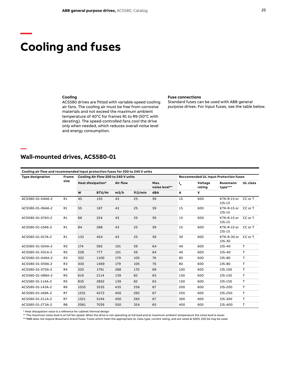# **Cooling and fuses**

**—**

**—**

### **Cooling**

ACS580 drives are fitted with variable-speed cooling air fans. The cooling air must be free from corrosive materials and not exceed the maximum ambient temperature of 40°C for frames R1 to R9 (50°C with derating). The speed-controlled fans cool the drive only when needed, which reduces overall noise level and energy consumption.

#### **Fuse connections**

Standard fuses can be used with ABB general purpose drives. For input fuses, see the table below.

### **Wall-mounted drives, ACS580-01**

| Cooling air flow and recommended input protection fuses for 200 to 240 V units |                |                                     |        |          |         |                       |                                              |                   |                            |                 |  |
|--------------------------------------------------------------------------------|----------------|-------------------------------------|--------|----------|---------|-----------------------|----------------------------------------------|-------------------|----------------------------|-----------------|--|
| <b>Type designation</b>                                                        | <b>Frame</b>   | Cooling Air Flow 200 to 240 V units |        |          |         |                       | <b>Reccomended UL Input Protection fuses</b> |                   |                            |                 |  |
|                                                                                | size           | Heat dissipation*                   |        | Air flow |         | Max.<br>noise level** | $I_{N}$                                      | Voltage<br>rating | <b>Bussmann</b><br>type*** | <b>UL</b> class |  |
|                                                                                |                | W                                   | BTU/Hr | m3/h     | ft3/min | <b>dBA</b>            | А                                            | ٧                 |                            |                 |  |
| ACS580-01-04A6-2                                                               | R1             | 45                                  | 155    | 43       | 25      | 59                    | 15                                           | 600               | KTK-R-15 or<br>JJS-15      | CC or T         |  |
| ACS580-01-06A6-2                                                               | R1             | 55                                  | 187    | 43       | 25      | 59                    | 15                                           | 600               | KTK-R-15 or<br>JJS-15      | CC or T         |  |
| ACS580-01-07A5-2                                                               | R1             | 66                                  | 224    | 43       | 25      | 59                    | 15                                           | 600               | KTK-R-15 or<br>JJS-15      | CC or T         |  |
| ACS580-01-10A6-2                                                               | R1             | 84                                  | 288    | 43       | 25      | 59                    | 15                                           | 600               | KTK-R-15 or<br>JJS-15      | CC or T         |  |
| ACS580-01-017A-2                                                               | R1             | 133                                 | 454    | 43       | 25      | 59                    | 30                                           | 600               | KTK-R-30 or<br>JJS-30      | CC or T         |  |
| ACS580-01-024A-2                                                               | R <sub>2</sub> | 174                                 | 593    | 101      | 59      | 64                    | 40                                           | 600               | JJS-40                     | T               |  |
| ACS580-01-031A-2                                                               | R <sub>2</sub> | 228                                 | 777    | 101      | 59      | 64                    | 40                                           | 600               | JJS-40                     | T.              |  |
| ACS580-01-046A-2                                                               | R <sub>3</sub> | 322                                 | 1100   | 179      | 105     | 76                    | 80                                           | 600               | JJS-80                     | T               |  |
| ACS580-01-059A-2                                                               | R <sub>3</sub> | 430                                 | 1469   | 179      | 105     | 76                    | 80                                           | 600               | JJS-80                     | т               |  |
| ACS580-01-075A-2                                                               | R4             | 525                                 | 1791   | 288      | 170     | 69                    | 100                                          | 600               | JJS-100                    | T               |  |
| ACS580-01-088A-2                                                               | R <sub>5</sub> | 619                                 | 2114   | 139      | 82      | 63                    | 150                                          | 600               | JJS-150                    | T               |  |
| ACS580-01-114A-2                                                               | R <sub>5</sub> | 835                                 | 2852   | 139      | 82      | 63                    | 150                                          | 600               | JJS-150                    | $\mathsf{T}$    |  |
| ACS580-01-143A-2                                                               | R <sub>6</sub> | 1035                                | 3535   | 435      | 256     | 67                    | 200                                          | 600               | JJS-200                    | Τ.              |  |
| ACS580-01-169A-2                                                               | R7             | 1251                                | 4272   | 450      | 265     | 67                    | 250                                          | 600               | JJS-250                    | T.              |  |
| ACS580-01-211A-2                                                               | R7             | 1521                                | 5194   | 450      | 265     | 67                    | 300                                          | 600               | JJS-300                    | T               |  |
| ACS580-01-273A-2                                                               | R <sub>8</sub> | 2061                                | 7039   | 550      | 324     | 65                    | 400                                          | 600               | JJS-400                    | T.              |  |

\* Heat dissapation value is a reference for cabinet thermal design

\*\* The maximum noise level is at full fan speed. When the drive is not operating at full load and at maximum ambient temperature the noise level is lower.

\*\*\*ABB does not require Bussmann brand fuses. Fuses which meet the appropriate UL class type, current rating, and are rated at 600V, 200 kA may be used.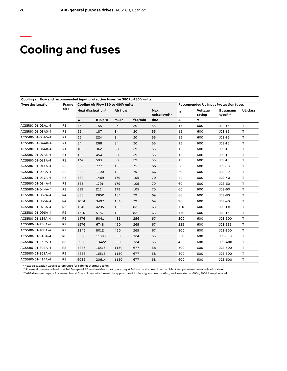# **Cooling and fuses**

| Cooling air flow and recommended input protection fuses for 380 to 480 V units |                |                   |                                    |          |                       |     |                  |                   |                                              |                 |
|--------------------------------------------------------------------------------|----------------|-------------------|------------------------------------|----------|-----------------------|-----|------------------|-------------------|----------------------------------------------|-----------------|
| <b>Type designation</b>                                                        | <b>Frame</b>   |                   | Cooling Air Flow 380 to 480V units |          |                       |     |                  |                   | <b>Reccomended UL Input Protection fuses</b> |                 |
|                                                                                | size           | Heat dissipation* |                                    | Air flow | Max.<br>noise level** |     | $\mathbf{I}_{N}$ | Voltage<br>rating | <b>Bussmann</b><br>type***                   | <b>UL</b> class |
|                                                                                |                | W                 | BTU/Hr                             | m3/h     | ft3/min               | dBA | А                | V                 |                                              |                 |
| ACS580-01-02A1-4                                                               | R1             | 45                | 155                                | 34       | 20                    | 55  | 15               | 600               | JJS-15                                       | T.              |
| ACS580-01-03A0-4                                                               | R1             | 55                | 187                                | 34       | 20                    | 55  | 15               | 600               | JJS-15                                       | T.              |
| ACS580-01-03A5-4                                                               | R1             | 66                | 224                                | 34       | 20                    | 55  | 15               | 600               | JJS-15                                       | Τ               |
| ACS580-01-04A8-4                                                               | R1             | 84                | 288                                | 34       | 20                    | 55  | 15               | 600               | JJS-15                                       | T.              |
| ACS580-01-06A0-4                                                               | R1             | 106               | 362                                | 50       | 29                    | 55  | 15               | 600               | JJS-15                                       | T.              |
| ACS580-01-07A6-4                                                               | R1             | 133               | 454                                | 50       | 29                    | 55  | 15               | 600               | JJS-15                                       | т               |
| ACS580-01-012A-4                                                               | R1             | 174               | 593                                | 50       | 29                    | 55  | 15               | 600               | JJS-15                                       | т               |
| ACS580-01-014A-4                                                               | R <sub>2</sub> | 228               | 777                                | 128      | 75                    | 66  | 30               | 600               | JJS-30                                       | т               |
| ACS580-01-023A-4                                                               | R <sub>2</sub> | 322               | 1100                               | 128      | 75                    | 66  | 30               | 600               | JJS-30                                       | T               |
| ACS580-01-027A-4                                                               | R <sub>3</sub> | 430               | 1469                               | 179      | 105                   | 70  | 40               | 600               | JJS-40                                       | T               |
| ACS580-01-034A-4                                                               | R3             | 525               | 1791                               | 179      | 105                   | 70  | 60               | 600               | JJS-60                                       | т               |
| ACS580-01-044A-4                                                               | R3             | 619               | 2114                               | 179      | 105                   | 70  | 60               | 600               | JJS-60                                       | T               |
| ACS580-01-052A-4                                                               | R4             | 835               | 2852                               | 134      | 79                    | 69  | 80               | 600               | JJS-80                                       | T               |
| ACS580-01-065A-4                                                               | R4             | 1024              | 3497                               | 134      | 79                    | 69  | 90               | 600               | JJS-90                                       | т               |
| ACS580-01-078A-4                                                               | R <sub>5</sub> | 1240              | 4235                               | 139      | 82                    | 63  | 110              | 600               | JJS-110                                      | $\mathsf T$     |
| ACS580-01-096A-4                                                               | R <sub>5</sub> | 1510              | 5157                               | 139      | 82                    | 63  | 150              | 600               | JJS-150                                      | T               |
| ACS580-01-124A-4                                                               | R <sub>6</sub> | 1476              | 5041                               | 435      | 256                   | 67  | 200              | 600               | JJS-200                                      | т               |
| ACS580-01-156A-4                                                               | R7             | 1976              | 6748                               | 450      | 265                   | 67  | 225              | 600               | JJS-225                                      | T               |
| ACS580-01-180A-4                                                               | R7             | 2346              | 8012                               | 450      | 265                   | 67  | 300              | 600               | JJS-300                                      | T               |
| ACS580-01-240A-4                                                               | R <sub>8</sub> | 3336              | 11393                              | 550      | 324                   | 65  | 350              | 600               | JJS-350                                      | T               |
| ACS580-01-260A-4                                                               | R8             | 3936              | 13422                              | 550      | 324                   | 65  | 400              | 600               | JJS-400                                      | T               |
| ACS580-01-302A-4                                                               | R <sub>8</sub> | 4836              | 16516                              | 1150     | 677                   | 68  | 500              | 600               | JJS-500                                      | т               |
| ACS580-01-361A-4                                                               | R <sub>9</sub> | 4836              | 16516                              | 1150     | 677                   | 68  | 500              | 600               | JJS-500                                      | $\mathsf T$     |
| ACS580-01-414A-4                                                               | R <sub>9</sub> | 6036              | 20614                              | 1150     | 677                   | 68  | 600              | 600               | JJS-600                                      | Τ               |

\* Heat dissapation value is a reference for cabinet thermal design

\*\* The maximum noise level is at full fan speed. When the drive is not operating at full load and at maximum ambient temperature the noise level is lower.

\*\*\*ABB does not require Bussmann brand fuses. Fuses which meet the appropriate UL class type, current rating, and are rated at 600V, 200 kA may be used.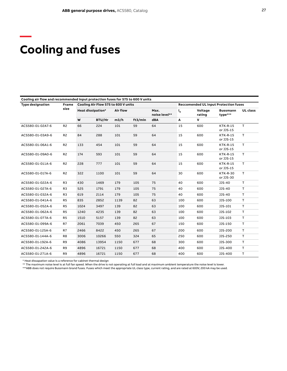## **Cooling and fuses**

**—**

| Cooling air flow and recommended input protection fuses for 575 to 600 V units |                |                                     |        |          |         |                       |                  |                   |                                              |                 |
|--------------------------------------------------------------------------------|----------------|-------------------------------------|--------|----------|---------|-----------------------|------------------|-------------------|----------------------------------------------|-----------------|
| <b>Type designation</b>                                                        | <b>Frame</b>   | Cooling Air Flow 575 to 600 V units |        |          |         |                       |                  |                   | <b>Reccomended UL Input Protection fuses</b> |                 |
|                                                                                | size           | Heat dissipation*                   |        | Air flow |         | Max.<br>noise level** | $\mathbf{I}_{N}$ | Voltage<br>rating | <b>Bussmann</b><br>type***                   | <b>UL</b> class |
|                                                                                |                | W                                   | BTU/Hr | m3/h     | ft3/min | dBA                   | Α                | v                 |                                              |                 |
| ACS580-01-02A7-6                                                               | R <sub>2</sub> | 66                                  | 224    | 101      | 59      | 64                    | 15               | 600               | <b>KTK-R-15</b><br>or JJS-15                 | T.              |
| ACS580-01-03A9-6                                                               | R <sub>2</sub> | 84                                  | 288    | 101      | 59      | 64                    | 15               | 600               | <b>KTK-R-15</b><br>or JJS-15                 | T.              |
| ACS580-01-06A1-6                                                               | R <sub>2</sub> | 133                                 | 454    | 101      | 59      | 64                    | 15               | 600               | <b>KTK-R-15</b><br>or JJS-15                 | $\mathsf{T}$    |
| ACS580-01-09A0-6                                                               | R <sub>2</sub> | 174                                 | 593    | 101      | 59      | 64                    | 15               | 600               | <b>KTK-R-15</b><br>or JJS-15                 | $\mathsf T$     |
| ACS580-01-011A-6                                                               | R <sub>2</sub> | 228                                 | 777    | 101      | 59      | 64                    | 15               | 600               | <b>KTK-R-15</b><br>or JJS-15                 | $\mathsf T$     |
| ACS580-01-017A-6                                                               | R <sub>2</sub> | 322                                 | 1100   | 101      | 59      | 64                    | 30               | 600               | <b>KTK-R-30</b><br>or JJS-30                 | T               |
| ACS580-01-022A-6                                                               | R <sub>3</sub> | 430                                 | 1469   | 179      | 105     | 75                    | 40               | 600               | JJS-40                                       | T.              |
| ACS580-01-027A-6                                                               | R <sub>3</sub> | 525                                 | 1791   | 179      | 105     | 75                    | 40               | 600               | JJS-40                                       | T               |
| ACS580-01-032A-6                                                               | R <sub>3</sub> | 619                                 | 2114   | 179      | 105     | 75                    | 40               | 600               | JJS-40                                       | T               |
| ACS580-01-041A-6                                                               | R <sub>5</sub> | 835                                 | 2852   | 1139     | 82      | 63                    | 100              | 600               | JJS-100                                      | T               |
| ACS580-01-052A-6                                                               | R <sub>5</sub> | 1024                                | 3497   | 139      | 82      | 63                    | 100              | 600               | JJS-101                                      | T.              |
| ACS580-01-062A-6                                                               | R <sub>5</sub> | 1240                                | 4235   | 139      | 82      | 63                    | 100              | 600               | JJS-102                                      | $\mathsf T$     |
| ACS580-01-077A-6                                                               | R <sub>5</sub> | 1510                                | 5157   | 139      | 82      | 63                    | 100              | 600               | JJS-103                                      | Τ               |
| ACS580-01-099A-6                                                               | R7             | 2061                                | 7039   | 450      | 265     | 67                    | 150              | 600               | JJS-150                                      | $\mathsf T$     |
| ACS580-01-125A-6                                                               | R7             | 2466                                | 8422   | 450      | 265     | 67                    | 200              | 600               | JJS-200                                      | $\mathsf T$     |
| ACS580-01-144A-6                                                               | R <sub>8</sub> | 3006                                | 10266  | 550      | 324     | 65                    | 250              | 600               | JJS-250                                      | T.              |
| ACS580-01-192A-6                                                               | R9             | 4086                                | 13954  | 1150     | 677     | 68                    | 300              | 600               | JJS-300                                      | T.              |
| ACS580-01-242A-6                                                               | R <sub>9</sub> | 4896                                | 16721  | 1150     | 677     | 68                    | 400              | 600               | JJS-400                                      | T               |
| ACS580-01-271A-6                                                               | R <sub>9</sub> | 4896                                | 16721  | 1150     | 677     | 68                    | 400              | 600               | JJS-400                                      | Τ               |

\* Heat dissapation value is a reference for cabinet thermal design

\*\* The maximum noise level is at full fan speed. When the drive is not operating at full load and at maximum ambient temperature the noise level is lower.<br>\*\*\*ABB does not require Bussmann brand fuses. Fuses which meet the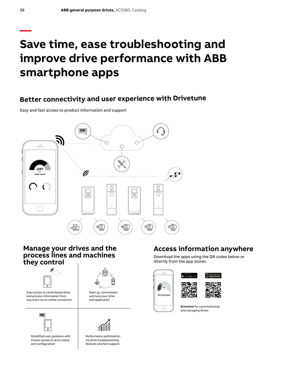## **— Save time, ease troubleshooting and improve drive performance with ABB smartphone apps**

### **Better connectivity and user experience with Drivetune**

Easy and fast access to product information and support



### **Manage your drives and the process lines and machines they control**





Easy access to cloud-based drive and process information from anywhere via an online connection



Simplified user guidance with instant access to drive status and configuration

Start up, commission and tune your drive

and application



Performance optimization via drive troubleshooting features and fast support

### **Access information anywhere**

Download the apps using the QR codes below or directly from the app stores

:6







**Drivetune** for commissioning and managing drives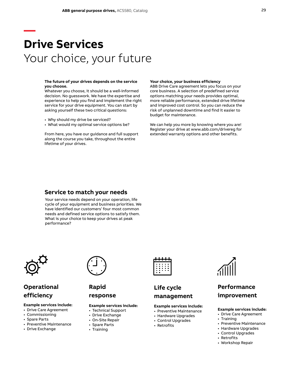# **Drive Services** Your choice, your future

#### **The future of your drives depends on the service you choose.**

Whatever you choose, it should be a well-informed decision. No guesswork. We have the expertise and experience to help you find and implement the right service for your drive equipment. You can start by asking yourself these two critical questions:

- Why should my drive be serviced?
- What would my optimal service options be?

From here, you have our guidance and full support along the course you take, throughout the entire lifetime of your drives.

#### **Your choice, your business efficiency**

ABB Drive Care agreement lets you focus on your core business. A selection of predefined service options matching your needs provides optimal, more reliable performance, extended drive lifetime and improved cost control. So you can reduce the risk of unplanned downtime and find it easier to budget for maintenance.

We can help you more by knowing where you are! Register your drive at www.abb.com/drivereg for extended warranty options and other benefits.

### **Service to match your needs**

Your service needs depend on your operation, life cycle of your equipment and business priorities. We have identified our customers' four most common needs and defined service options to satisfy them. What is your choice to keep your drives at peak performance?



**—**

### **Operational efficiency**

### **Example services include:**

- Drive Care Agreement
- Commissioning
- Spare Parts
- Preventive Maintenance
- Drive Exchange



**Rapid** 

### **response**

### **Example services include:**

- Technical Support
- Drive Exchange
- On-Site Repair
- Spare Parts
- Training



### **Life cycle management**

### **Example services include:**

- Preventive Maintenance
- Hardware Upgrades
- Control Upgrades
- Retrofits



### **Performance improvement**

### **Example services include:**

- Drive Care Agreement
- Training
- Preventive Maintenance
- Hardware Upgrades
- Control Upgrades
- Retrofits • Workshop Repair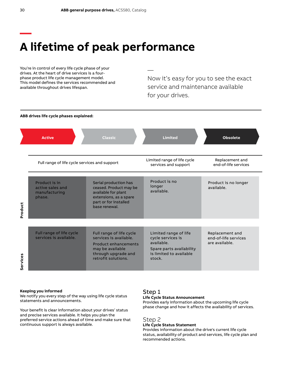# **A lifetime of peak performance**

You're in control of every life cycle phase of your drives. At the heart of drive services is a fourphase product life cycle management model. This model defines the services recommended and available throughout drives lifespan.

Now it's easy for you to see the exact service and maintenance available for your drives.



—

### **Keeping you informed**

We notify you every step of the way using life cycle status statements and announcements.

Your benefit is clear information about your drives' status and precise services available. It helps you plan the preferred service actions ahead of time and make sure that continuous support is always available.

### Step 1

### **Life Cycle Status Announcement**

Provides early information about the upcoming life cycle phase change and how it affects the availability of services.

### Step 2

### **Life Cycle Status Statement**

Provides information about the drive's current life cycle status, availability of product and services, life cycle plan and recommended actions.